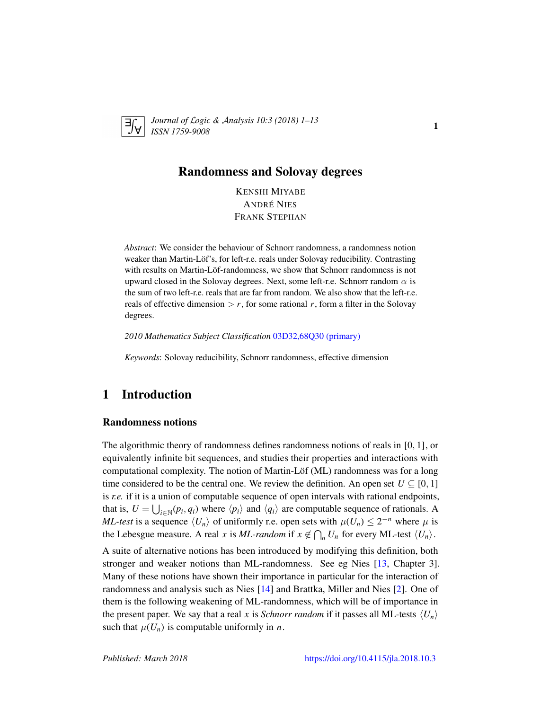

*Journal of* L*ogic &* A*nalysis 10:3 (2018) 1–13 ISSN 1759-9008* 18 Analysis 10.5 (2010) 1 15

## Randomness and Solovay degrees

KENSHI MIYABE ANDRÉ NIES FRANK STEPHAN

*Abstract*: We consider the behaviour of Schnorr randomness, a randomness notion weaker than Martin-Löf's, for left-r.e. reals under Solovay reducibility. Contrasting with results on Martin-Löf-randomness, we show that Schnorr randomness is not upward closed in the Solovay degrees. Next, some left-r.e. Schnorr random  $\alpha$  is the sum of two left-r.e. reals that are far from random. We also show that the left-r.e. reals of effective dimension  $>r$ , for some rational *r*, form a filter in the Solovay degrees.

*2010 Mathematics Subject Classification* [03D32,68Q30 \(primary\)](http://www.ams.org/mathscinet/search/mscdoc.html?code=03D32,68Q30)

*Keywords*: Solovay reducibility, Schnorr randomness, effective dimension

## 1 Introduction

#### Randomness notions

The algorithmic theory of randomness defines randomness notions of reals in [0, 1], or equivalently infinite bit sequences, and studies their properties and interactions with computational complexity. The notion of Martin-Löf (ML) randomness was for a long time considered to be the central one. We review the definition. An open set  $U \subseteq [0, 1]$ is *r.e.* if it is a union of computable sequence of open intervals with rational endpoints, that is,  $U = \bigcup_{i \in \mathbb{N}} (p_i, q_i)$  where  $\langle p_i \rangle$  and  $\langle q_i \rangle$  are computable sequence of rationals. A *ML-test* is a sequence  $\langle U_n \rangle$  of uniformly r.e. open sets with  $\mu(U_n) \leq 2^{-n}$  where  $\mu$  is the Lebesgue measure. A real *x* is *ML-random* if  $x \notin \bigcap_n U_n$  for every ML-test  $\langle U_n \rangle$ . A suite of alternative notions has been introduced by modifying this definition, both stronger and weaker notions than ML-randomness. See eg Nies [\[13,](#page-12-0) Chapter 3]. Many of these notions have shown their importance in particular for the interaction of randomness and analysis such as Nies [\[14\]](#page-12-1) and Brattka, Miller and Nies [\[2\]](#page-11-0). One of them is the following weakening of ML-randomness, which will be of importance in the present paper. We say that a real *x* is *Schnorr random* if it passes all ML-tests  $\langle U_n \rangle$ 

such that  $\mu(U_n)$  is computable uniformly in *n*.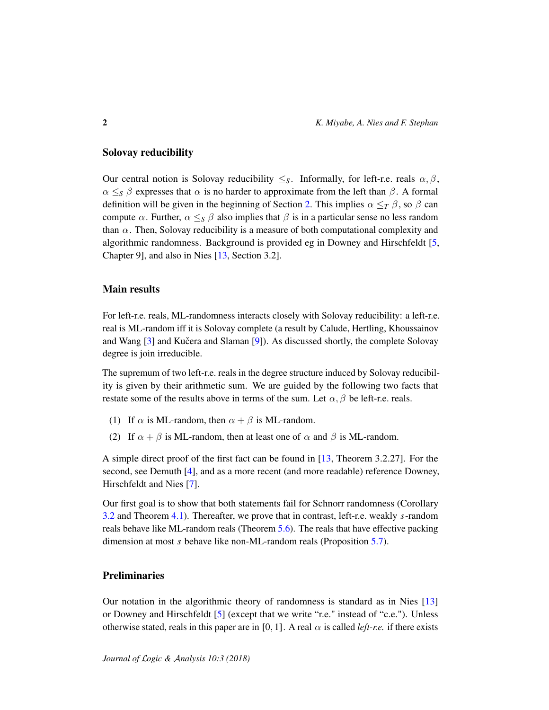#### Solovay reducibility

Our central notion is Solovay reducibility  $\leq_S$ . Informally, for left-r.e. reals  $\alpha, \beta$ ,  $\alpha \leq_{S} \beta$  expresses that  $\alpha$  is no harder to approximate from the left than  $\beta$ . A formal definition will be given in the beginning of Section [2.](#page-2-0) This implies  $\alpha \leq_T \beta$ , so  $\beta$  can compute  $\alpha$ . Further,  $\alpha \leq_{\mathcal{S}} \beta$  also implies that  $\beta$  is in a particular sense no less random than  $\alpha$ . Then, Solovay reducibility is a measure of both computational complexity and algorithmic randomness. Background is provided eg in Downey and Hirschfeldt [\[5,](#page-11-1) Chapter 9], and also in Nies [\[13,](#page-12-0) Section 3.2].

#### Main results

For left-r.e. reals, ML-randomness interacts closely with Solovay reducibility: a left-r.e. real is ML-random iff it is Solovay complete (a result by Calude, Hertling, Khoussainov and Wang  $[3]$  and Kučera and Slaman  $[9]$  $[9]$ ). As discussed shortly, the complete Solovay degree is join irreducible.

The supremum of two left-r.e. reals in the degree structure induced by Solovay reducibility is given by their arithmetic sum. We are guided by the following two facts that restate some of the results above in terms of the sum. Let  $\alpha$ ,  $\beta$  be left-r.e. reals.

- (1) If  $\alpha$  is ML-random, then  $\alpha + \beta$  is ML-random.
- (2) If  $\alpha + \beta$  is ML-random, then at least one of  $\alpha$  and  $\beta$  is ML-random.

A simple direct proof of the first fact can be found in [\[13,](#page-12-0) Theorem 3.2.27]. For the second, see Demuth [\[4\]](#page-11-3), and as a more recent (and more readable) reference Downey, Hirschfeldt and Nies [\[7\]](#page-12-3).

Our first goal is to show that both statements fail for Schnorr randomness (Corollary [3.2](#page-5-0) and Theorem [4.1\)](#page-6-0). Thereafter, we prove that in contrast, left-r.e. weakly *s*-random reals behave like ML-random reals (Theorem [5.6\)](#page-10-0). The reals that have effective packing dimension at most *s* behave like non-ML-random reals (Proposition [5.7\)](#page-10-1).

#### **Preliminaries**

Our notation in the algorithmic theory of randomness is standard as in Nies [\[13\]](#page-12-0) or Downey and Hirschfeldt [\[5\]](#page-11-1) (except that we write "r.e." instead of "c.e."). Unless otherwise stated, reals in this paper are in [0, 1]. A real  $\alpha$  is called *left-r.e.* if there exists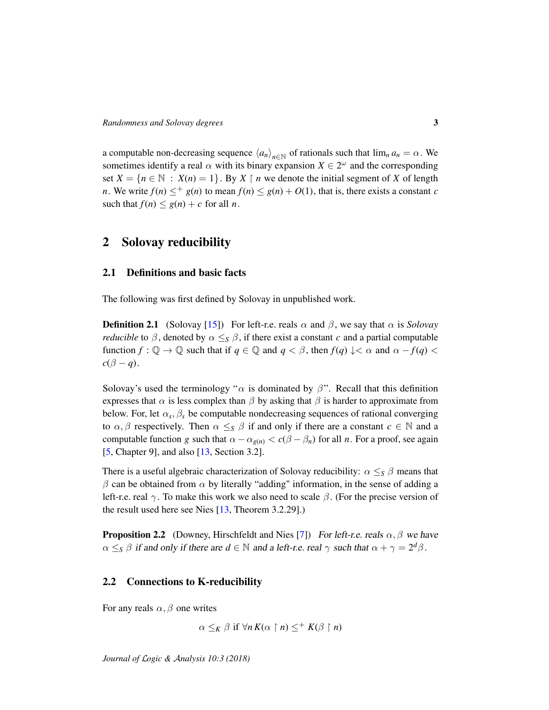a computable non-decreasing sequence  $\langle a_n \rangle_{n \in \mathbb{N}}$  of rationals such that  $\lim_n a_n = \alpha$ . We sometimes identify a real  $\alpha$  with its binary expansion  $X \in 2^{\omega}$  and the corresponding set  $X = \{n \in \mathbb{N} : X(n) = 1\}$ . By  $X \restriction n$  we denote the initial segment of X of length *n*. We write  $f(n) \leq^+ g(n)$  to mean  $f(n) \leq g(n) + O(1)$ , that is, there exists a constant *c* such that  $f(n) \leq g(n) + c$  for all *n*.

## <span id="page-2-0"></span>2 Solovay reducibility

#### 2.1 Definitions and basic facts

The following was first defined by Solovay in unpublished work.

**Definition 2.1** (Solovay [\[15\]](#page-12-4)) For left-r.e. reals  $\alpha$  and  $\beta$ , we say that  $\alpha$  is *Solovay reducible* to  $\beta$ , denoted by  $\alpha \leq_S \beta$ , if there exist a constant *c* and a partial computable function  $f: \mathbb{Q} \to \mathbb{Q}$  such that if  $q \in \mathbb{Q}$  and  $q < \beta$ , then  $f(q) \downarrow < \alpha$  and  $\alpha - f(q) <$  $c(\beta - q)$ .

Solovay's used the terminology " $\alpha$  is dominated by  $\beta$ ". Recall that this definition expresses that  $\alpha$  is less complex than  $\beta$  by asking that  $\beta$  is harder to approximate from below. For, let  $\alpha_s$ ,  $\beta_s$  be computable nondecreasing sequences of rational converging to  $\alpha, \beta$  respectively. Then  $\alpha \leq_{S} \beta$  if and only if there are a constant  $c \in \mathbb{N}$  and a computable function *g* such that  $\alpha - \alpha_{g(n)} < c(\beta - \beta_n)$  for all *n*. For a proof, see again [\[5,](#page-11-1) Chapter 9], and also [\[13,](#page-12-0) Section 3.2].

There is a useful algebraic characterization of Solovay reducibility:  $\alpha \leq_S \beta$  means that  $β$  can be obtained from  $α$  by literally "adding" information, in the sense of adding a left-r.e. real  $\gamma$ . To make this work we also need to scale  $\beta$ . (For the precise version of the result used here see Nies [\[13,](#page-12-0) Theorem 3.2.29].)

<span id="page-2-1"></span>**Proposition 2.2** (Downey, Hirschfeldt and Nies [\[7\]](#page-12-3)) For left-r.e. reals  $\alpha$ ,  $\beta$  we have  $\alpha \leq_S \beta$  if and only if there are  $d \in \mathbb{N}$  and a left-r.e. real  $\gamma$  such that  $\alpha + \gamma = 2^d \beta$ .

#### 2.2 Connections to K-reducibility

For any reals  $\alpha$ ,  $\beta$  one writes

 $\alpha \leq_K \beta$  if  $\forall n K(\alpha \mid n) \leq^+ K(\beta \mid n)$ 

*Journal of* L*ogic &* A*nalysis 10:3 (2018)*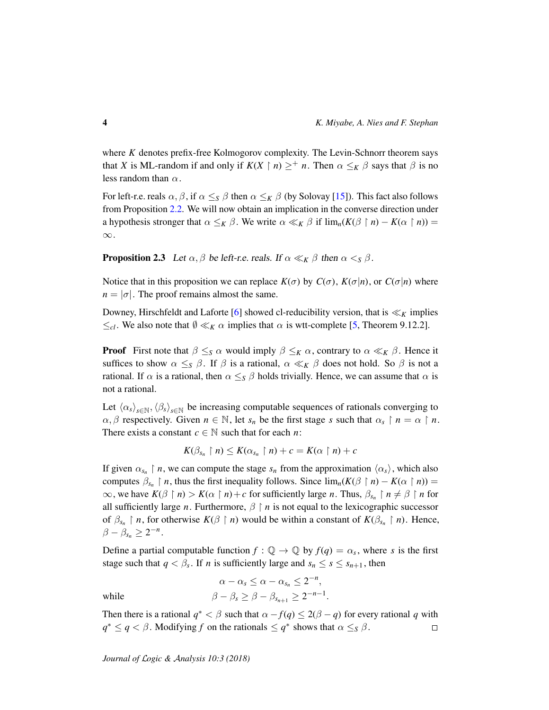where *K* denotes prefix-free Kolmogorov complexity. The Levin-Schnorr theorem says that *X* is ML-random if and only if  $K(X \mid n) \geq^+ n$ . Then  $\alpha \leq_K \beta$  says that  $\beta$  is no less random than  $\alpha$ .

For left-r.e. reals  $\alpha, \beta$ , if  $\alpha \leq_S \beta$  then  $\alpha \leq_K \beta$  (by Solovay [\[15\]](#page-12-4)). This fact also follows from Proposition [2.2.](#page-2-1) We will now obtain an implication in the converse direction under a hypothesis stronger that  $\alpha \leq_K \beta$ . We write  $\alpha \ll_K \beta$  if  $\lim_n (K(\beta \restriction n) - K(\alpha \restriction n)) =$ ∞.

<span id="page-3-0"></span>**Proposition 2.3** Let  $\alpha, \beta$  be left-r.e. reals. If  $\alpha \ll_K \beta$  then  $\alpha <_S \beta$ .

Notice that in this proposition we can replace  $K(\sigma)$  by  $C(\sigma)$ ,  $K(\sigma|n)$ , or  $C(\sigma|n)$  where  $n = |\sigma|$ . The proof remains almost the same.

Downey, Hirschfeldt and Laforte [\[6\]](#page-11-4) showed cl-reducibility version, that is  $\ll_K$  implies  $≤$ <sub>*cl*</sub>. We also note that  $\emptyset \ll_K \alpha$  implies that  $\alpha$  is wtt-complete [\[5,](#page-11-1) Theorem 9.12.2].

**Proof** First note that  $\beta \leq_S \alpha$  would imply  $\beta \leq_K \alpha$ , contrary to  $\alpha \ll_K \beta$ . Hence it suffices to show  $\alpha \leq_S \beta$ . If  $\beta$  is a rational,  $\alpha \ll_K \beta$  does not hold. So  $\beta$  is not a rational. If  $\alpha$  is a rational, then  $\alpha \leq_{S} \beta$  holds trivially. Hence, we can assume that  $\alpha$  is not a rational.

Let  $\langle \alpha_s \rangle_{s \in \mathbb{N}}, \langle \beta_s \rangle_{s \in \mathbb{N}}$  be increasing computable sequences of rationals converging to  $\alpha, \beta$  respectively. Given  $n \in \mathbb{N}$ , let  $s_n$  be the first stage *s* such that  $\alpha_s \restriction n = \alpha \restriction n$ . There exists a constant  $c \in \mathbb{N}$  such that for each *n*:

$$
K(\beta_{s_n}\upharpoonright n)\leq K(\alpha_{s_n}\upharpoonright n)+c=K(\alpha\upharpoonright n)+c
$$

If given  $\alpha_{s_n} \restriction n$ , we can compute the stage  $s_n$  from the approximation  $\langle \alpha_s \rangle$ , which also computes  $\beta_{s_n} \restriction n$ , thus the first inequality follows. Since  $\lim_n (K(\beta \restriction n) - K(\alpha \restriction n)) =$  $\infty$ , we have  $K(\beta \restriction n) > K(\alpha \restriction n) + c$  for sufficiently large *n*. Thus,  $\beta_{s_n} \restriction n \neq \beta \restriction n$  for all sufficiently large *n*. Furthermore,  $\beta \restriction n$  is not equal to the lexicographic successor of  $\beta_{s_n} \restriction n$ , for otherwise  $K(\beta \restriction n)$  would be within a constant of  $K(\beta_{s_n} \restriction n)$ . Hence,  $\beta - \beta_{s_n} \geq 2^{-n}.$ 

Define a partial computable function  $f: \mathbb{Q} \to \mathbb{Q}$  by  $f(q) = \alpha_s$ , where *s* is the first stage such that  $q < \beta_s$ . If *n* is sufficiently large and  $s_n \leq s \leq s_{n+1}$ , then

$$
\alpha - \alpha_s \le \alpha - \alpha_{s_n} \le 2^{-n},
$$
  
while  

$$
\beta - \beta_s \ge \beta - \beta_{s_{n+1}} \ge 2^{-n-1}.
$$

Then there is a rational  $q^* < \beta$  such that  $\alpha - f(q) \leq 2(\beta - q)$  for every rational q with  $q^* \le q < \beta$ . Modifying *f* on the rationals  $\le q^*$  shows that  $\alpha \le s \beta$ .  $\Box$ 

*Journal of* L*ogic &* A*nalysis 10:3 (2018)*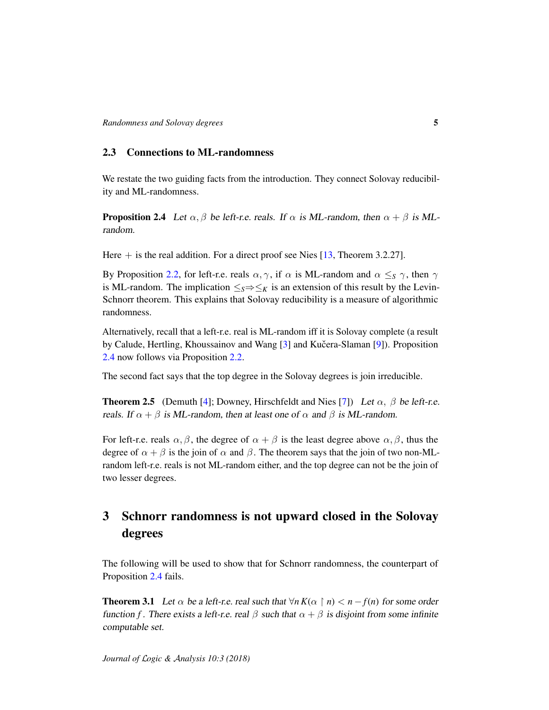#### 2.3 Connections to ML-randomness

We restate the two guiding facts from the introduction. They connect Solovay reducibility and ML-randomness.

<span id="page-4-0"></span>**Proposition 2.4** Let  $\alpha, \beta$  be left-r.e. reals. If  $\alpha$  is ML-random, then  $\alpha + \beta$  is MLrandom.

Here  $+$  is the real addition. For a direct proof see Nies [\[13,](#page-12-0) Theorem 3.2.27].

By Proposition [2.2,](#page-2-1) for left-r.e. reals  $\alpha, \gamma$ , if  $\alpha$  is ML-random and  $\alpha \leq_{S} \gamma$ , then  $\gamma$ is ML-random. The implication  $\leq_S \Rightarrow \leq_K$  is an extension of this result by the Levin-Schnorr theorem. This explains that Solovay reducibility is a measure of algorithmic randomness.

Alternatively, recall that a left-r.e. real is ML-random iff it is Solovay complete (a result by Calude, Hertling, Khoussainov and Wang [\[3\]](#page-11-2) and Kučera-Slaman [[9\]](#page-12-2)). Proposition [2.4](#page-4-0) now follows via Proposition [2.2.](#page-2-1)

The second fact says that the top degree in the Solovay degrees is join irreducible.

<span id="page-4-1"></span>**Theorem 2.5** (Demuth [\[4\]](#page-11-3); Downey, Hirschfeldt and Nies [\[7\]](#page-12-3)) Let  $\alpha$ ,  $\beta$  be left-r.e. reals. If  $\alpha + \beta$  is ML-random, then at least one of  $\alpha$  and  $\beta$  is ML-random.

For left-r.e. reals  $\alpha, \beta$ , the degree of  $\alpha + \beta$  is the least degree above  $\alpha, \beta$ , thus the degree of  $\alpha + \beta$  is the join of  $\alpha$  and  $\beta$ . The theorem says that the join of two non-MLrandom left-r.e. reals is not ML-random either, and the top degree can not be the join of two lesser degrees.

## 3 Schnorr randomness is not upward closed in the Solovay degrees

The following will be used to show that for Schnorr randomness, the counterpart of Proposition [2.4](#page-4-0) fails.

**Theorem 3.1** Let  $\alpha$  be a left-r.e. real such that  $\forall n K(\alpha \mid n) < n - f(n)$  for some order function *f*. There exists a left-r.e. real  $\beta$  such that  $\alpha + \beta$  is disjoint from some infinite computable set.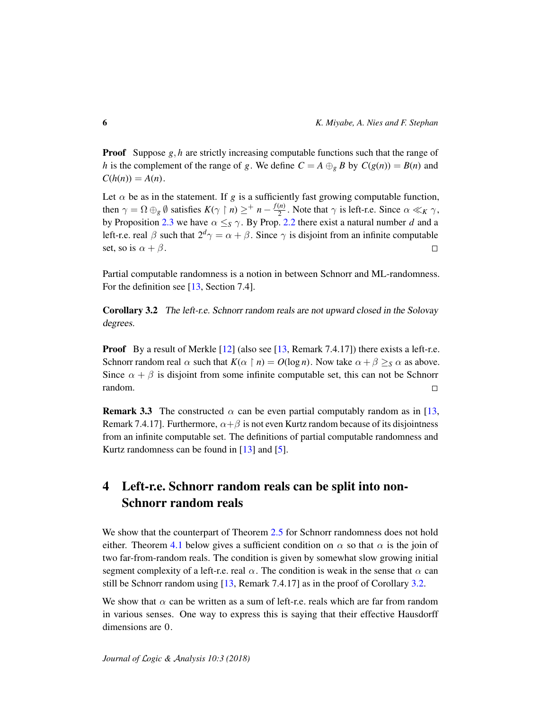**Proof** Suppose *g*, *h* are strictly increasing computable functions such that the range of *h* is the complement of the range of *g*. We define  $C = A \bigoplus_{g} B$  by  $C(g(n)) = B(n)$  and  $C(h(n)) = A(n)$ .

Let  $\alpha$  be as in the statement. If g is a sufficiently fast growing computable function, then  $\gamma = \Omega \oplus_{g} \emptyset$  satisfies  $K(\gamma \restriction n) \geq^+ n - \frac{f(n)}{2}$  $\frac{2^{n}}{2}$ . Note that  $\gamma$  is left-r.e. Since  $\alpha \ll_K \gamma$ , by Proposition [2.3](#page-3-0) we have  $\alpha \leq_S \gamma$ . By Prop. [2.2](#page-2-1) there exist a natural number *d* and a left-r.e. real  $\beta$  such that  $2^d\gamma = \alpha + \beta$ . Since  $\gamma$  is disjoint from an infinite computable set, so is  $\alpha + \beta$ .  $\Box$ 

Partial computable randomness is a notion in between Schnorr and ML-randomness. For the definition see [\[13,](#page-12-0) Section 7.4].

<span id="page-5-0"></span>Corollary 3.2 The left-r.e. Schnorr random reals are not upward closed in the Solovay degrees.

**Proof** By a result of Merkle  $[12]$  (also see  $[13,$  Remark 7.4.17) there exists a left-r.e. Schnorr random real  $\alpha$  such that  $K(\alpha \restriction n) = O(\log n)$ . Now take  $\alpha + \beta \geq_S \alpha$  as above. Since  $\alpha + \beta$  is disjoint from some infinite computable set, this can not be Schnorr random.  $\Box$ 

**Remark 3.3** The constructed  $\alpha$  can be even partial computably random as in [\[13,](#page-12-0) Remark 7.4.17]. Furthermore,  $\alpha + \beta$  is not even Kurtz random because of its disjointness from an infinite computable set. The definitions of partial computable randomness and Kurtz randomness can be found in [\[13\]](#page-12-0) and [\[5\]](#page-11-1).

# 4 Left-r.e. Schnorr random reals can be split into non-Schnorr random reals

We show that the counterpart of Theorem [2.5](#page-4-1) for Schnorr randomness does not hold either. Theorem [4.1](#page-6-0) below gives a sufficient condition on  $\alpha$  so that  $\alpha$  is the join of two far-from-random reals. The condition is given by somewhat slow growing initial segment complexity of a left-r.e. real  $\alpha$ . The condition is weak in the sense that  $\alpha$  can still be Schnorr random using [\[13,](#page-12-0) Remark 7.4.17] as in the proof of Corollary [3.2.](#page-5-0)

We show that  $\alpha$  can be written as a sum of left-r.e. reals which are far from random in various senses. One way to express this is saying that their effective Hausdorff dimensions are 0.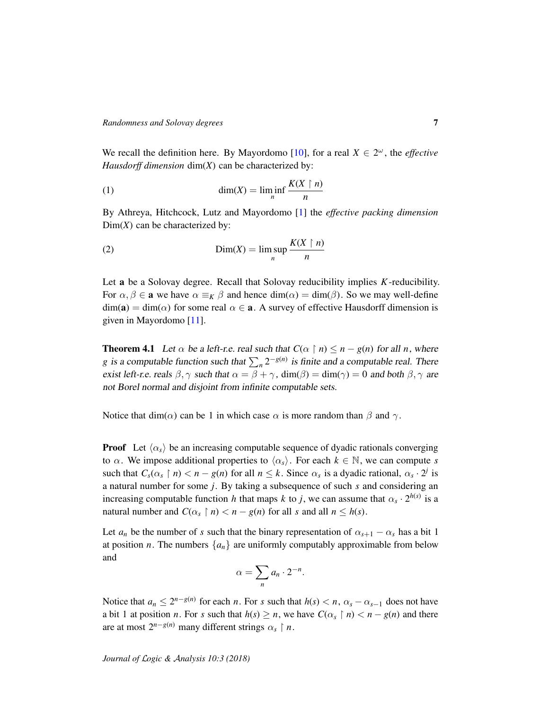We recall the definition here. By Mayordomo [\[10\]](#page-12-6), for a real  $X \in 2^{\omega}$ , the *effective Hausdorff dimension* dim(*X*) can be characterized by:

<span id="page-6-1"></span>(1) 
$$
\dim(X) = \liminf_{n} \frac{K(X \restriction n)}{n}
$$

By Athreya, Hitchcock, Lutz and Mayordomo [\[1\]](#page-11-5) the *effective packing dimension* Dim(*X*) can be characterized by:

<span id="page-6-2"></span>(2) 
$$
\text{Dim}(X) = \limsup_{n} \frac{K(X \restriction n)}{n}
$$

Let a be a Solovay degree. Recall that Solovay reducibility implies *K*-reducibility. For  $\alpha, \beta \in \mathbf{a}$  we have  $\alpha \equiv_K \beta$  and hence  $\dim(\alpha) = \dim(\beta)$ . So we may well-define  $\dim(a) = \dim(\alpha)$  for some real  $\alpha \in \mathbf{a}$ . A survey of effective Hausdorff dimension is given in Mayordomo [\[11\]](#page-12-7).

<span id="page-6-0"></span>**Theorem 4.1** Let  $\alpha$  be a left-r.e. real such that  $C(\alpha \mid n) \leq n - g(n)$  for all *n*, where *g* is a computable function such that  $\sum_{n} 2^{-g(n)}$  is finite and a computable real. There exist left-r.e. reals  $\beta$ ,  $\gamma$  such that  $\alpha = \beta + \gamma$ , dim( $\beta$ ) = dim( $\gamma$ ) = 0 and both  $\beta$ ,  $\gamma$  are not Borel normal and disjoint from infinite computable sets.

Notice that dim( $\alpha$ ) can be 1 in which case  $\alpha$  is more random than  $\beta$  and  $\gamma$ .

**Proof** Let  $\langle \alpha_s \rangle$  be an increasing computable sequence of dyadic rationals converging to  $\alpha$ . We impose additional properties to  $\langle \alpha_s \rangle$ . For each  $k \in \mathbb{N}$ , we can compute *s* such that  $C_s(\alpha_s \mid n) < n - g(n)$  for all  $n \leq k$ . Since  $\alpha_s$  is a dyadic rational,  $\alpha_s \cdot 2^j$  is a natural number for some *j*. By taking a subsequence of such *s* and considering an increasing computable function *h* that maps *k* to *j*, we can assume that  $\alpha_s \cdot 2^{h(s)}$  is a natural number and  $C(\alpha_s \mid n) < n - g(n)$  for all *s* and all  $n \leq h(s)$ .

Let  $a_n$  be the number of *s* such that the binary representation of  $\alpha_{s+1} - \alpha_s$  has a bit 1 at position *n*. The numbers  $\{a_n\}$  are uniformly computably approximable from below and

$$
\alpha=\sum_n a_n\cdot 2^{-n}.
$$

Notice that  $a_n \leq 2^{n-g(n)}$  for each *n*. For *s* such that  $h(s) < n$ ,  $\alpha_s - \alpha_{s-1}$  does not have a bit 1 at position *n*. For *s* such that  $h(s) \ge n$ , we have  $C(\alpha_s \mid n) < n - g(n)$  and there are at most  $2^{n-g(n)}$  many different strings  $\alpha_s \restriction n$ .

*Journal of* L*ogic &* A*nalysis 10:3 (2018)*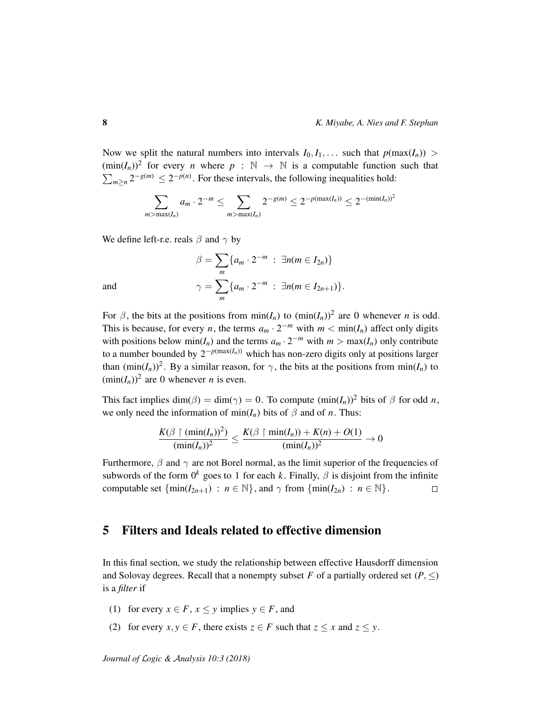Now we split the natural numbers into intervals  $I_0, I_1, \ldots$  such that  $p(\max(I_n)) >$  $(\min(I_n))^2$  for every *n* where  $p : \mathbb{N} \to \mathbb{N}$  is a computable function such that  $\sum_{m\geq n} 2^{-g(m)} \leq 2^{-p(n)}$ . For these intervals, the following inequalities hold:

$$
\sum_{m > \max(I_n)} a_m \cdot 2^{-m} \le \sum_{m > \max(I_n)} 2^{-g(m)} \le 2^{-p(\max(I_n))} \le 2^{-(\min(I_n))^2}
$$

We define left-r.e. reals  $\beta$  and  $\gamma$  by

$$
\beta = \sum_{m} \{a_m \cdot 2^{-m} : \exists n (m \in I_{2n})\}
$$
  
and  

$$
\gamma = \sum_{m} \{a_m \cdot 2^{-m} : \exists n (m \in I_{2n+1})\}.
$$

For  $\beta$ , the bits at the positions from  $\min(I_n)$  to  $(\min(I_n))^2$  are 0 whenever *n* is odd. This is because, for every *n*, the terms  $a_m \cdot 2^{-m}$  with  $m < \min(I_n)$  affect only digits with positions below  $min(I_n)$  and the terms  $a_m \cdot 2^{-m}$  with  $m > max(I_n)$  only contribute to a number bounded by  $2^{-p(\max(I_n))}$  which has non-zero digits only at positions larger than  $(\min(I_n))^2$ . By a similar reason, for  $\gamma$ , the bits at the positions from  $\min(I_n)$  to  $(\min(I_n))^2$  are 0 whenever *n* is even.

This fact implies dim( $\beta$ ) = dim( $\gamma$ ) = 0. To compute (min(*I<sub>n</sub>*))<sup>2</sup> bits of  $\beta$  for odd *n*, we only need the information of min( $I_n$ ) bits of  $\beta$  and of *n*. Thus:

$$
\frac{K(\beta\restriction(\min(I_n))^2)}{(\min(I_n))^2} \le \frac{K(\beta\restriction\min(I_n)) + K(n) + O(1)}{(\min(I_n))^2} \to 0
$$

Furthermore,  $\beta$  and  $\gamma$  are not Borel normal, as the limit superior of the frequencies of subwords of the form  $0^k$  goes to 1 for each *k*. Finally,  $\beta$  is disjoint from the infinite computable set  $\{\min(I_{2n+1}) : n \in \mathbb{N}\},\$  and  $\gamma$  from  $\{\min(I_{2n}) : n \in \mathbb{N}\}.$  $\Box$ 

## 5 Filters and Ideals related to effective dimension

In this final section, we study the relationship between effective Hausdorff dimension and Solovay degrees. Recall that a nonempty subset *F* of a partially ordered set  $(P, \leq)$ is a *filter* if

- (1) for every  $x \in F$ ,  $x \leq y$  implies  $y \in F$ , and
- (2) for every  $x, y \in F$ , there exists  $z \in F$  such that  $z \le x$  and  $z \le y$ .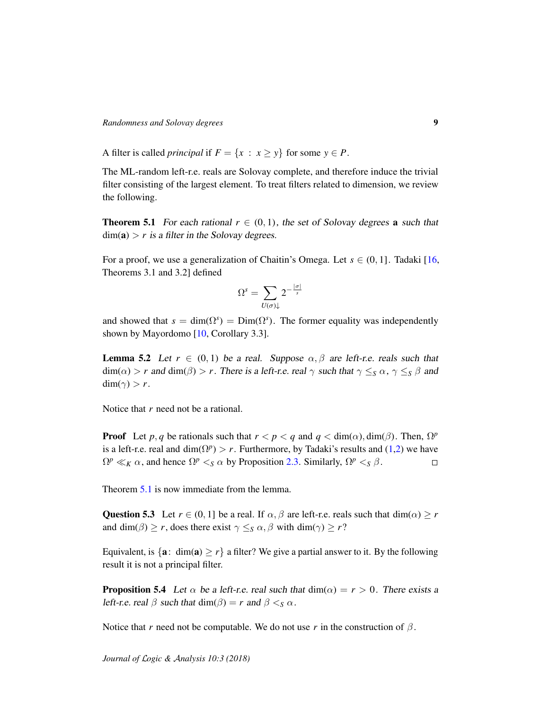*Randomness and Solovay degrees* 9

A filter is called *principal* if  $F = \{x : x \ge y\}$  for some  $y \in P$ .

The ML-random left-r.e. reals are Solovay complete, and therefore induce the trivial filter consisting of the largest element. To treat filters related to dimension, we review the following.

<span id="page-8-0"></span>**Theorem 5.1** For each rational  $r \in (0, 1)$ , the set of Solovay degrees **a** such that  $dim(a) > r$  is a filter in the Solovay degrees.

For a proof, we use a generalization of Chaitin's Omega. Let  $s \in (0, 1]$ . Tadaki [\[16,](#page-12-8) Theorems 3.1 and 3.2] defined

$$
\Omega^s = \sum_{U(\sigma)\downarrow} 2^{-\frac{|\sigma|}{s}}
$$

and showed that  $s = \dim(\Omega^s) = \dim(\Omega^s)$ . The former equality was independently shown by Mayordomo [\[10,](#page-12-6) Corollary 3.3].

**Lemma 5.2** Let  $r \in (0, 1)$  be a real. Suppose  $\alpha, \beta$  are left-r.e. reals such that  $\dim(\alpha) > r$  and  $\dim(\beta) > r$ . There is a left-r.e. real  $\gamma$  such that  $\gamma \leq_{S} \alpha$ ,  $\gamma \leq_{S} \beta$  and dim( $\gamma$ ) > *r*.

Notice that *r* need not be a rational.

**Proof** Let *p*, *q* be rationals such that  $r < p < q$  and  $q < \dim(\alpha)$ ,  $\dim(\beta)$ . Then,  $\Omega^p$ is a left-r.e. real and  $\dim(\Omega^p) > r$ . Furthermore, by Tadaki's results and [\(1](#page-6-1)[,2\)](#page-6-2) we have  $\Omega^p \ll_K \alpha$ , and hence  $\Omega^p <_{S} \alpha$  by Proposition [2.3.](#page-3-0) Similarly,  $\Omega^p <_{S} \beta$ .  $\Box$ 

Theorem [5.1](#page-8-0) is now immediate from the lemma.

Question 5.3 Let  $r \in (0, 1]$  be a real. If  $\alpha, \beta$  are left-r.e. reals such that dim( $\alpha$ )  $\geq r$ and dim( $\beta$ )  $\geq r$ , does there exist  $\gamma \leq_S \alpha$ ,  $\beta$  with dim( $\gamma$ )  $\geq r$ ?

Equivalent, is  $\{a: dim(a) \ge r\}$  a filter? We give a partial answer to it. By the following result it is not a principal filter.

<span id="page-8-1"></span>**Proposition 5.4** Let  $\alpha$  be a left-r.e. real such that  $dim(\alpha) = r > 0$ . There exists a left-r.e. real  $\beta$  such that dim( $\beta$ ) = *r* and  $\beta <_{S} \alpha$ .

Notice that *r* need not be computable. We do not use *r* in the construction of  $\beta$ .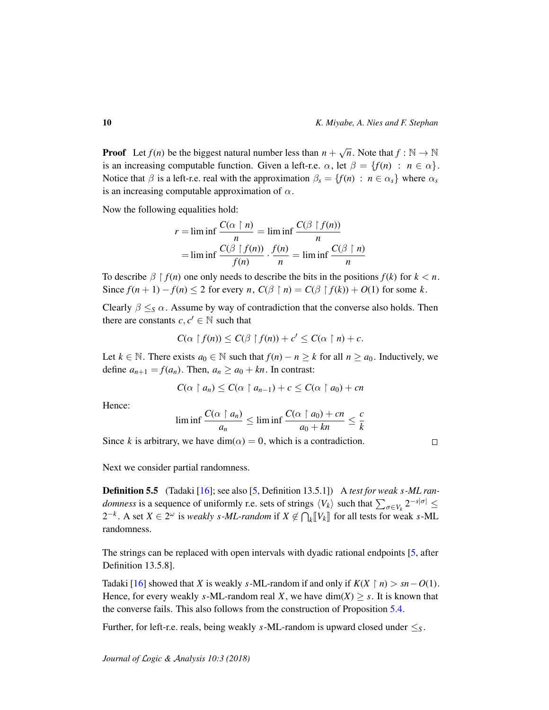**Proof** Let  $f(n)$  be the biggest natural number less than  $n +$  $\sqrt{n}$ . Note that  $f : \mathbb{N} \to \mathbb{N}$ is an increasing computable function. Given a left-r.e.  $\alpha$ , let  $\beta = \{f(n) : n \in \alpha\}.$ Notice that  $\beta$  is a left-r.e. real with the approximation  $\beta_s = \{f(n) : n \in \alpha_s\}$  where  $\alpha_s$ is an increasing computable approximation of  $\alpha$ .

Now the following equalities hold:

$$
r = \liminf \frac{C(\alpha \upharpoonright n)}{n} = \liminf \frac{C(\beta \upharpoonright f(n))}{n}
$$

$$
= \liminf \frac{C(\beta \upharpoonright f(n))}{f(n)} \cdot \frac{f(n)}{n} = \liminf \frac{C(\beta \upharpoonright n)}{n}
$$

To describe  $\beta \restriction f(n)$  one only needs to describe the bits in the positions  $f(k)$  for  $k < n$ . Since  $f(n + 1) - f(n) \le 2$  for every *n*,  $C(\beta \restriction n) = C(\beta \restriction f(k)) + O(1)$  for some *k*.

Clearly  $\beta \leq_S \alpha$ . Assume by way of contradiction that the converse also holds. Then there are constants  $c, c' \in \mathbb{N}$  such that

$$
C(\alpha \upharpoonright f(n)) \leq C(\beta \upharpoonright f(n)) + c' \leq C(\alpha \upharpoonright n) + c.
$$

Let *k* ∈ N. There exists  $a_0$  ∈ N such that  $f(n) - n \ge k$  for all  $n \ge a_0$ . Inductively, we define  $a_{n+1} = f(a_n)$ . Then,  $a_n \ge a_0 + kn$ . In contrast:

$$
C(\alpha \upharpoonright a_n) \leq C(\alpha \upharpoonright a_{n-1}) + c \leq C(\alpha \upharpoonright a_0) + cn
$$

Hence:

$$
\liminf \frac{C(\alpha \upharpoonright a_n)}{a_n} \le \liminf \frac{C(\alpha \upharpoonright a_0) + cn}{a_0 + kn} \le \frac{c}{k}
$$

Since *k* is arbitrary, we have dim( $\alpha$ ) = 0, which is a contradiction.

 $\Box$ 

Next we consider partial randomness.

Definition 5.5 (Tadaki [\[16\]](#page-12-8); see also [\[5,](#page-11-1) Definition 13.5.1]) A *test for weak s-ML randomness* is a sequence of uniformly r.e. sets of strings  $\langle V_k \rangle$  such that  $\sum_{\sigma \in V_k} 2^{-s|\sigma|} \le$  $2^{-k}$ . A set *X* ∈  $2^{\omega}$  is *weakly s*-*ML*-random if *X* ∉  $\bigcap_k [V_k]$  for all tests for weak *s*-ML randomness.

The strings can be replaced with open intervals with dyadic rational endpoints [\[5,](#page-11-1) after Definition 13.5.8].

Tadaki [\[16\]](#page-12-8) showed that *X* is weakly *s*-ML-random if and only if  $K(X \mid n) > sn - O(1)$ . Hence, for every weakly *s*-ML-random real *X*, we have  $dim(X) \geq s$ . It is known that the converse fails. This also follows from the construction of Proposition [5.4.](#page-8-1)

Further, for left-r.e. reals, being weakly *s*-ML-random is upward closed under  $\leq_S$ .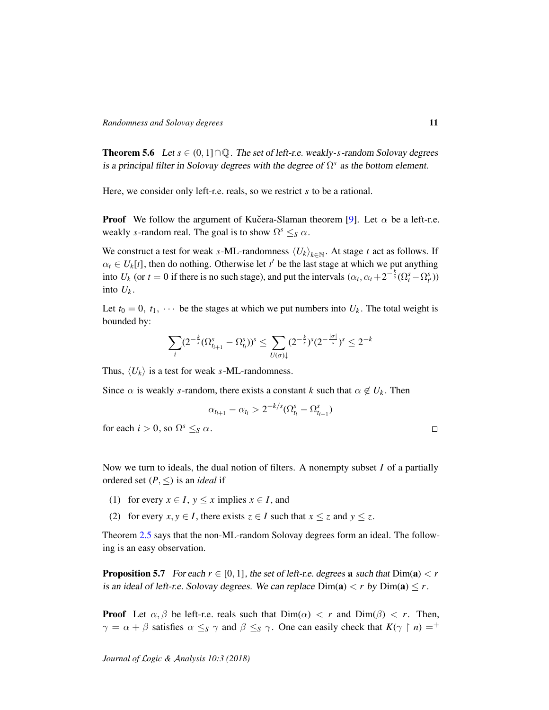<span id="page-10-0"></span>**Theorem 5.6** Let  $s \in (0, 1] \cap \mathbb{Q}$ . The set of left-r.e. weakly-*s*-random Solovay degrees is a principal filter in Solovay degrees with the degree of  $\Omega^s$  as the bottom element.

Here, we consider only left-r.e. reals, so we restrict *s* to be a rational.

**Proof** We follow the argument of Kucera-Slaman theorem [[9\]](#page-12-2). Let  $\alpha$  be a left-r.e. weakly *s*-random real. The goal is to show  $\Omega^s \leq_S \alpha$ .

We construct a test for weak *s*-ML-randomness  $\langle U_k \rangle_{k \in \mathbb{N}}$ . At stage *t* act as follows. If  $\alpha_t \in U_k[t]$ , then do nothing. Otherwise let  $t'$  be the last stage at which we put anything into  $U_k$  (or  $t = 0$  if there is no such stage), and put the intervals  $(\alpha_t, \alpha_t + 2^{-\frac{k}{s}}(\Omega_t^s - \Omega_t^s))$ into  $U_k$ .

Let  $t_0 = 0$ ,  $t_1$ ,  $\cdots$  be the stages at which we put numbers into  $U_k$ . The total weight is bounded by:

$$
\sum_{i} (2^{-\frac{k}{s}} (\Omega_{t_{i+1}}^s - \Omega_{t_i}^s))^s \le \sum_{U(\sigma)\downarrow} (2^{-\frac{k}{s}})^s (2^{-\frac{|\sigma|}{s}})^s \le 2^{-k}
$$

Thus,  $\langle U_k \rangle$  is a test for weak *s*-ML-randomness.

Since  $\alpha$  is weakly *s*-random, there exists a constant *k* such that  $\alpha \notin U_k$ . Then

$$
\alpha_{t_{i+1}} - \alpha_{t_i} > 2^{-k/s} (\Omega_{t_i}^s - \Omega_{t_{i-1}}^s)
$$

for each  $i > 0$ , so  $\Omega^s \leq_S \alpha$ .

 $\Box$ 

Now we turn to ideals, the dual notion of filters. A nonempty subset *I* of a partially ordered set  $(P, \leq)$  is an *ideal* if

- (1) for every  $x \in I$ ,  $y \le x$  implies  $x \in I$ , and
- (2) for every  $x, y \in I$ , there exists  $z \in I$  such that  $x \le z$  and  $y \le z$ .

Theorem [2.5](#page-4-1) says that the non-ML-random Solovay degrees form an ideal. The following is an easy observation.

<span id="page-10-1"></span>**Proposition 5.7** For each  $r \in [0, 1]$ , the set of left-r.e. degrees **a** such that  $Dim(a) < r$ is an ideal of left-r.e. Solovay degrees. We can replace  $Dim(a) < r$  by  $Dim(a) \leq r$ .

**Proof** Let  $\alpha, \beta$  be left-r.e. reals such that  $Dim(\alpha) < r$  and  $Dim(\beta) < r$ . Then,  $\gamma = \alpha + \beta$  satisfies  $\alpha \leq_S \gamma$  and  $\beta \leq_S \gamma$ . One can easily check that  $K(\gamma \restriction n) =^+$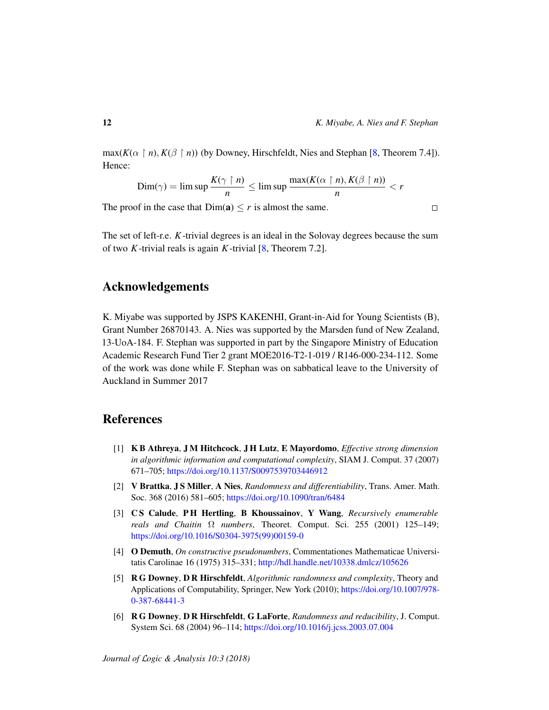$\Box$ 

 $max(K(\alpha \mid n), K(\beta \mid n))$  (by Downey, Hirschfeldt, Nies and Stephan [\[8,](#page-12-9) Theorem 7.4]). Hence:

$$
\text{Dim}(\gamma) = \limsup \frac{K(\gamma \restriction n)}{n} \le \limsup \frac{\max(K(\alpha \restriction n), K(\beta \restriction n))}{n} < r
$$

The proof in the case that  $Dim(a) \le r$  is almost the same.

The set of left-r.e. *K*-trivial degrees is an ideal in the Solovay degrees because the sum of two *K*-trivial reals is again *K*-trivial [\[8,](#page-12-9) Theorem 7.2].

### Acknowledgements

K. Miyabe was supported by JSPS KAKENHI, Grant-in-Aid for Young Scientists (B), Grant Number 26870143. A. Nies was supported by the Marsden fund of New Zealand, 13-UoA-184. F. Stephan was supported in part by the Singapore Ministry of Education Academic Research Fund Tier 2 grant MOE2016-T2-1-019 / R146-000-234-112. Some of the work was done while F. Stephan was on sabbatical leave to the University of Auckland in Summer 2017

## References

- <span id="page-11-5"></span>[1] K B Athreya, J M Hitchcock, J H Lutz, E Mayordomo, *Effective strong dimension in algorithmic information and computational complexity*, SIAM J. Comput. 37 (2007) 671–705; <https://doi.org/10.1137/S0097539703446912>
- <span id="page-11-0"></span>[2] V Brattka, J S Miller, A Nies, *Randomness and differentiability*, Trans. Amer. Math. Soc. 368 (2016) 581–605; <https://doi.org/10.1090/tran/6484>
- <span id="page-11-2"></span>[3] C S Calude, P H Hertling, B Khoussainov, Y Wang, *Recursively enumerable reals and Chaitin* Ω *numbers*, Theoret. Comput. Sci. 255 (2001) 125–149; [https://doi.org/10.1016/S0304-3975\(99\)00159-0](https://doi.org/10.1016/S0304-3975(99)00159-0)
- <span id="page-11-3"></span>[4] O Demuth, *On constructive pseudonumbers*, Commentationes Mathematicae Universitatis Carolinae 16 (1975) 315–331; <http://hdl.handle.net/10338.dmlcz/105626>
- <span id="page-11-1"></span>[5] R G Downey, D R Hirschfeldt, *Algorithmic randomness and complexity*, Theory and Applications of Computability, Springer, New York (2010); [https://doi.org/10.1007/978-](https://doi.org/10.1007/978-0-387-68441-3) [0-387-68441-3](https://doi.org/10.1007/978-0-387-68441-3)
- <span id="page-11-4"></span>[6] R G Downey, D R Hirschfeldt, G LaForte, *Randomness and reducibility*, J. Comput. System Sci. 68 (2004) 96–114; <https://doi.org/10.1016/j.jcss.2003.07.004>